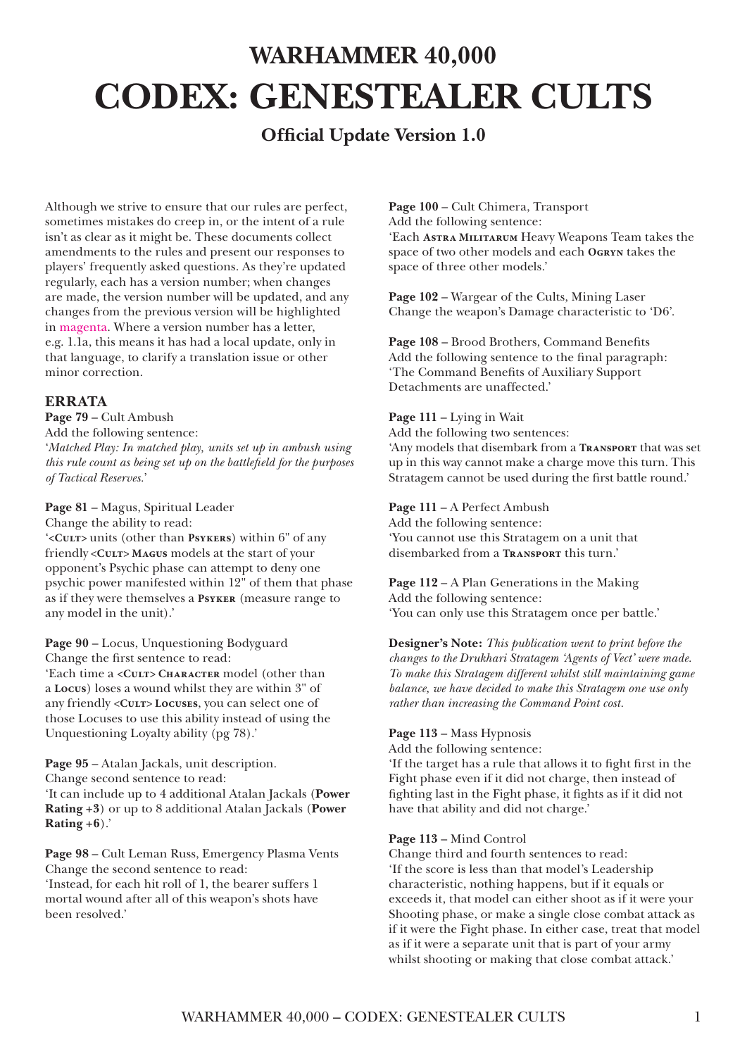# **WARHAMMER 40,000 CODEX: GENESTEALER CULTS**

# **Official Update Version 1.0**

Although we strive to ensure that our rules are perfect, sometimes mistakes do creep in, or the intent of a rule isn't as clear as it might be. These documents collect amendments to the rules and present our responses to players' frequently asked questions. As they're updated regularly, each has a version number; when changes are made, the version number will be updated, and any changes from the previous version will be highlighted in magenta. Where a version number has a letter, e.g. 1.1a, this means it has had a local update, only in that language, to clarify a translation issue or other minor correction.

# **ERRATA**

**Page 79** – Cult Ambush

Add the following sentence:

'*Matched Play: In matched play, units set up in ambush using this rule count as being set up on the battlefield for the purposes of Tactical Reserves.*'

### **Page 81** – Magus, Spiritual Leader

Change the ability to read:

'**<Cult>** units (other than **Psykers**) within 6" of any friendly **<Cult> Magus** models at the start of your opponent's Psychic phase can attempt to deny one psychic power manifested within 12" of them that phase as if they were themselves a **Psyker** (measure range to any model in the unit).'

**Page 90** – Locus, Unquestioning Bodyguard Change the first sentence to read:

'Each time a <CULT> CHARACTER model (other than a **Locus**) loses a wound whilst they are within 3" of any friendly <Curr>Locuses, you can select one of those Locuses to use this ability instead of using the Unquestioning Loyalty ability (pg 78).'

**Page 95** – Atalan Jackals, unit description. Change second sentence to read: 'It can include up to 4 additional Atalan Jackals (**Power Rating +3**) or up to 8 additional Atalan Jackals (**Power Rating +6**).'

**Page 98** – Cult Leman Russ, Emergency Plasma Vents Change the second sentence to read: 'Instead, for each hit roll of 1, the bearer suffers 1 mortal wound after all of this weapon's shots have been resolved.'

**Page 100** – Cult Chimera, Transport Add the following sentence:

'Each **Astra Militarum** Heavy Weapons Team takes the space of two other models and each **Ogryn** takes the space of three other models.'

**Page 102** – Wargear of the Cults, Mining Laser Change the weapon's Damage characteristic to 'D6'.

**Page 108** – Brood Brothers, Command Benefits Add the following sentence to the final paragraph: 'The Command Benefits of Auxiliary Support Detachments are unaffected.'

#### **Page 111** – Lying in Wait

Add the following two sentences: 'Any models that disembark from a **Transport** that was set up in this way cannot make a charge move this turn. This Stratagem cannot be used during the first battle round.'

#### **Page 111** – A Perfect Ambush

Add the following sentence: 'You cannot use this Stratagem on a unit that disembarked from a **Transport** this turn.'

**Page 112** – A Plan Generations in the Making Add the following sentence: 'You can only use this Stratagem once per battle.'

**Designer's Note:** *This publication went to print before the changes to the Drukhari Stratagem 'Agents of Vect' were made. To make this Stratagem different whilst still maintaining game balance, we have decided to make this Stratagem one use only rather than increasing the Command Point cost.*

#### **Page 113** – Mass Hypnosis

Add the following sentence:

'If the target has a rule that allows it to fight first in the Fight phase even if it did not charge, then instead of fighting last in the Fight phase, it fights as if it did not have that ability and did not charge.'

#### **Page 113** – Mind Control

Change third and fourth sentences to read: 'If the score is less than that model's Leadership characteristic, nothing happens, but if it equals or exceeds it, that model can either shoot as if it were your Shooting phase, or make a single close combat attack as if it were the Fight phase. In either case, treat that model as if it were a separate unit that is part of your army whilst shooting or making that close combat attack.'